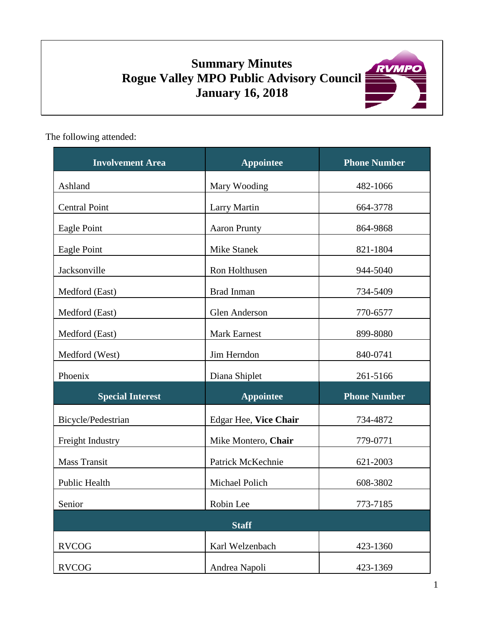# **Summary Minutes Rogue Valley MPO Public Advisory Council January 16, 2018**



The following attended:

| <b>Involvement Area</b> | <b>Appointee</b>      | <b>Phone Number</b> |
|-------------------------|-----------------------|---------------------|
| Ashland                 | Mary Wooding          | 482-1066            |
| <b>Central Point</b>    | <b>Larry Martin</b>   | 664-3778            |
| Eagle Point             | <b>Aaron Prunty</b>   | 864-9868            |
| Eagle Point             | Mike Stanek           | 821-1804            |
| Jacksonville            | Ron Holthusen         | 944-5040            |
| Medford (East)          | <b>Brad Inman</b>     | 734-5409            |
| Medford (East)          | Glen Anderson         | 770-6577            |
| Medford (East)          | <b>Mark Earnest</b>   | 899-8080            |
| Medford (West)          | Jim Herndon           | 840-0741            |
| Phoenix                 | Diana Shiplet         | 261-5166            |
| <b>Special Interest</b> | <b>Appointee</b>      | <b>Phone Number</b> |
| Bicycle/Pedestrian      | Edgar Hee, Vice Chair | 734-4872            |
| Freight Industry        | Mike Montero, Chair   | 779-0771            |
| <b>Mass Transit</b>     | Patrick McKechnie     | 621-2003            |
| Public Health           | Michael Polich        | 608-3802            |
| Senior                  | Robin Lee             | 773-7185            |
|                         | <b>Staff</b>          |                     |
| <b>RVCOG</b>            | Karl Welzenbach       | 423-1360            |
| <b>RVCOG</b>            | Andrea Napoli         | 423-1369            |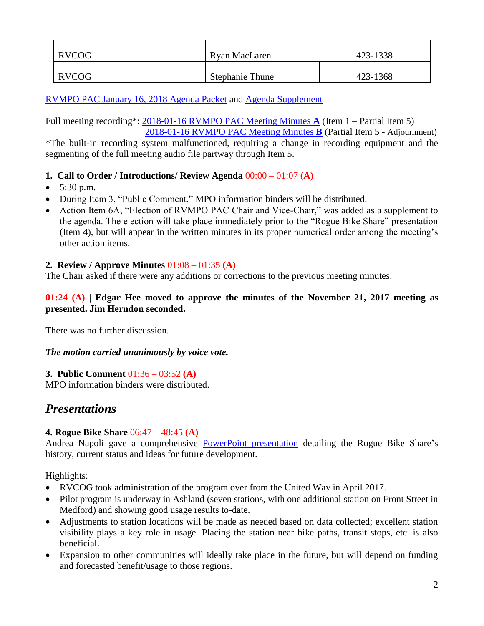| RVCOG | Ryan MacLaren          | 423-1338 |
|-------|------------------------|----------|
| RVCOG | <b>Stephanie Thune</b> | 423-1368 |

[RVMPO PAC January 16, 2018 Agenda Packet](https://www.rvmpo.org/images/committees/public-advisory-council/2018/Agenda_Packets/2018-01-16_RVMPO%20PAC%20Agenda%20Packet_C.pdf) and [Agenda Supplement](https://www.rvmpo.org/images/committees/public-advisory-council/2018/Agenda_Packets/2018-01-16_RVMPO%20PAC%20Agenda_6A%20Supplement.pdf)

Full meeting recording\*: [2018-01-16 RVMPO PAC Meeting Minutes](https://www.rvmpo.org/images/committees/public-advisory-council/2018/Audio_Files/2018-01-16_A_RVMPO%20PAC_Audio%20File_C%20(mp3cut.net).MP3) **A** (Item 1 – Partial Item 5) [2018-01-16 RVMPO PAC Meeting Minutes](https://www.rvmpo.org/images/committees/public-advisory-council/2018/Audio_Files/2018-01-16_B_RVMPO%20PAC_Audio%20File_C_Philips%20(mp3cut.net).MP3) **B** (Partial Item 5 - Adjournment)

\*The built-in recording system malfunctioned, requiring a change in recording equipment and the segmenting of the full meeting audio file partway through Item 5.

### **1. Call to Order / Introductions/ Review Agenda** 00:00 – 01:07 **(A)**

- $\bullet$  5:30 p.m.
- During Item 3, "Public Comment," MPO information binders will be distributed.
- Action Item 6A, "Election of RVMPO PAC Chair and Vice-Chair," was added as a supplement to the agenda. The election will take place immediately prior to the "Rogue Bike Share" presentation (Item 4), but will appear in the written minutes in its proper numerical order among the meeting's other action items.

### **2. Review / Approve Minutes** 01:08 – 01:35 **(A)**

The Chair asked if there were any additions or corrections to the previous meeting minutes.

#### **01:24 (A)** | **Edgar Hee moved to approve the minutes of the November 21, 2017 meeting as presented. Jim Herndon seconded.**

There was no further discussion.

*The motion carried unanimously by voice vote.*

### **3. Public Comment** 01:36 – 03:52 **(A)**

MPO information binders were distributed.

## *Presentations*

### **4. Rogue Bike Share** 06:47 – 48:45 **(A)**

Andrea Napoli gave a comprehensive [PowerPoint presentation](https://www.rvmpo.org/images/committees/public-advisory-council/2018/Agenda_Packets/2018-01-16RVPAC_BS_Pres_FULL_12.27.17.pdf) detailing the Rogue Bike Share's history, current status and ideas for future development.

Highlights:

- RVCOG took administration of the program over from the United Way in April 2017.
- Pilot program is underway in Ashland (seven stations, with one additional station on Front Street in Medford) and showing good usage results to-date.
- Adjustments to station locations will be made as needed based on data collected; excellent station visibility plays a key role in usage. Placing the station near bike paths, transit stops, etc. is also beneficial.
- Expansion to other communities will ideally take place in the future, but will depend on funding and forecasted benefit/usage to those regions.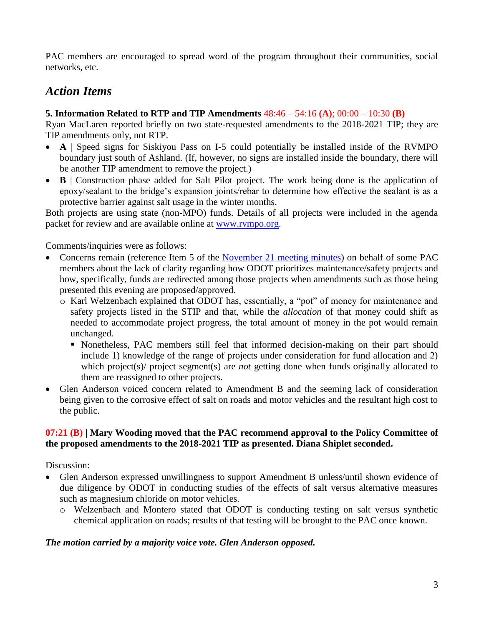PAC members are encouraged to spread word of the program throughout their communities, social networks, etc.

## *Action Items*

### **5. Information Related to RTP and TIP Amendments** 48:46 – 54:16 **(A)**; 00:00 – 10:30 **(B)**

Ryan MacLaren reported briefly on two state-requested amendments to the 2018-2021 TIP; they are TIP amendments only, not RTP.

- **A** | Speed signs for Siskiyou Pass on I-5 could potentially be installed inside of the RVMPO boundary just south of Ashland. (If, however, no signs are installed inside the boundary, there will be another TIP amendment to remove the project.)
- **B** | Construction phase added for Salt Pilot project. The work being done is the application of epoxy/sealant to the bridge's expansion joints/rebar to determine how effective the sealant is as a protective barrier against salt usage in the winter months.

Both projects are using state (non-MPO) funds. Details of all projects were included in the agenda packet for review and are available online at [www.rvmpo.org.](http://www.rvmpo.org/)

Comments/inquiries were as follows:

- Concerns remain (reference Item 5 of the [November 21 meeting minutes\)](https://www.rvmpo.org/images/committees/public-advisory-council/2017/Minutes/2017-11-21_RVMPO%20PAC%20APPRVD%20Minutes.pdf) on behalf of some PAC members about the lack of clarity regarding how ODOT prioritizes maintenance/safety projects and how, specifically, funds are redirected among those projects when amendments such as those being presented this evening are proposed/approved.
	- o Karl Welzenbach explained that ODOT has, essentially, a "pot" of money for maintenance and safety projects listed in the STIP and that, while the *allocation* of that money could shift as needed to accommodate project progress, the total amount of money in the pot would remain unchanged.
		- Nonetheless, PAC members still feel that informed decision-making on their part should include 1) knowledge of the range of projects under consideration for fund allocation and 2) which project(s)/ project segment(s) are *not* getting done when funds originally allocated to them are reassigned to other projects.
- Glen Anderson voiced concern related to Amendment B and the seeming lack of consideration being given to the corrosive effect of salt on roads and motor vehicles and the resultant high cost to the public.

### **07:21 (B) | Mary Wooding moved that the PAC recommend approval to the Policy Committee of the proposed amendments to the 2018-2021 TIP as presented. Diana Shiplet seconded.**

Discussion:

- Glen Anderson expressed unwillingness to support Amendment B unless/until shown evidence of due diligence by ODOT in conducting studies of the effects of salt versus alternative measures such as magnesium chloride on motor vehicles.
	- o Welzenbach and Montero stated that ODOT is conducting testing on salt versus synthetic chemical application on roads; results of that testing will be brought to the PAC once known.

### *The motion carried by a majority voice vote. Glen Anderson opposed.*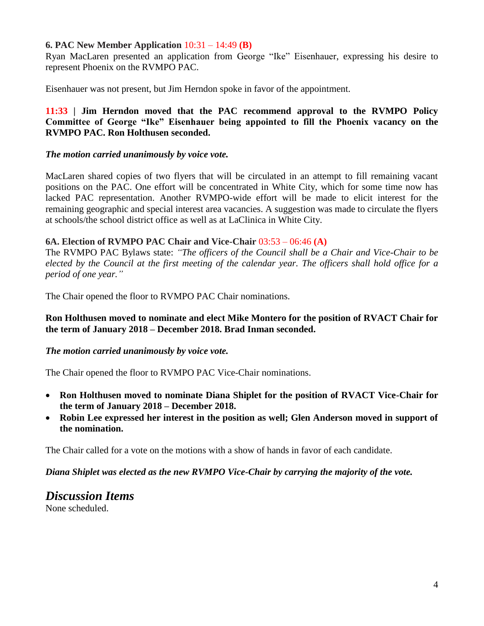#### **6. PAC New Member Application** 10:31 – 14:49 **(B)**

Ryan MacLaren presented an application from George "Ike" Eisenhauer, expressing his desire to represent Phoenix on the RVMPO PAC.

Eisenhauer was not present, but Jim Herndon spoke in favor of the appointment.

### **11:33 | Jim Herndon moved that the PAC recommend approval to the RVMPO Policy Committee of George "Ike" Eisenhauer being appointed to fill the Phoenix vacancy on the RVMPO PAC. Ron Holthusen seconded.**

#### *The motion carried unanimously by voice vote.*

MacLaren shared copies of two flyers that will be circulated in an attempt to fill remaining vacant positions on the PAC. One effort will be concentrated in White City, which for some time now has lacked PAC representation. Another RVMPO-wide effort will be made to elicit interest for the remaining geographic and special interest area vacancies. A suggestion was made to circulate the flyers at schools/the school district office as well as at LaClinica in White City.

#### **6A. Election of RVMPO PAC Chair and Vice-Chair** 03:53 – 06:46 **(A)**

The RVMPO PAC Bylaws state: *"The officers of the Council shall be a Chair and Vice-Chair to be elected by the Council at the first meeting of the calendar year. The officers shall hold office for a period of one year."*

The Chair opened the floor to RVMPO PAC Chair nominations.

#### **Ron Holthusen moved to nominate and elect Mike Montero for the position of RVACT Chair for the term of January 2018 – December 2018. Brad Inman seconded.**

### *The motion carried unanimously by voice vote.*

The Chair opened the floor to RVMPO PAC Vice-Chair nominations.

- **Ron Holthusen moved to nominate Diana Shiplet for the position of RVACT Vice-Chair for the term of January 2018 – December 2018.**
- **Robin Lee expressed her interest in the position as well; Glen Anderson moved in support of the nomination.**

The Chair called for a vote on the motions with a show of hands in favor of each candidate.

*Diana Shiplet was elected as the new RVMPO Vice-Chair by carrying the majority of the vote.*

## *Discussion Items*

None scheduled.